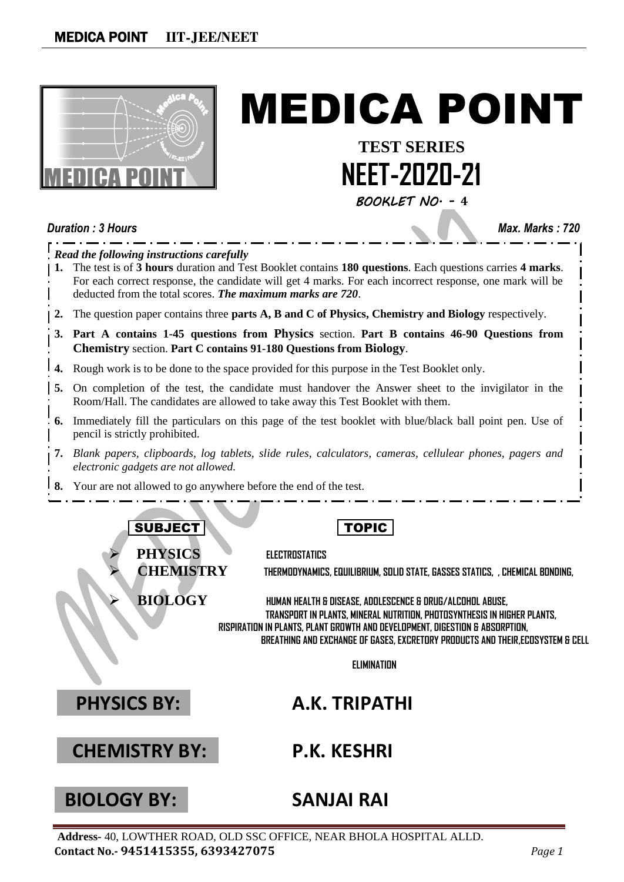

# MEDICA POINT

**TEST SERIES NEET-2020-21**

*BOOKLET NO. -* **4**

*Duration : 3 Hours Max. Marks : 720 Read the following instructions carefully* **1.** The test is of **3 hours** duration and Test Booklet contains **180 questions**. Each questions carries **4 marks**. For each correct response, the candidate will get 4 marks. For each incorrect response, one mark will be deducted from the total scores. *The maximum marks are 720*. **2.** The question paper contains three **parts A, B and C of Physics, Chemistry and Biology** respectively. **3. Part A contains 1-45 questions from Physics** section. **Part B contains 46-90 Questions from Chemistry** section. **Part C contains 91-180 Questions from Biology**. **4.** Rough work is to be done to the space provided for this purpose in the Test Booklet only. **5.** On completion of the test, the candidate must handover the Answer sheet to the invigilator in the Room/Hall. The candidates are allowed to take away this Test Booklet with them. **6.** Immediately fill the particulars on this page of the test booklet with blue/black ball point pen. Use of pencil is strictly prohibited. **7.** *Blank papers, clipboards, log tablets, slide rules, calculators, cameras, cellulear phones, pagers and electronic gadgets are not allowed.* **8.** Your are not allowed to go anywhere before the end of the test. SUBJECT | TOPIC ➢ **PHYSICS ELECTROSTATICS** ➢ **CHEMISTRY THERMODYNAMICS, EQUILIBRIUM, SOLID STATE, GASSES STATICS, , CHEMICAL BONDING,** ➢ **BIOLOGY HUMAN HEALTH & DISEASE, ADOLESCENCE & DRUG/ALCOHOL ABUSE, TRANSPORT IN PLANTS, MINERAL NUTRITION, PHOTOSYNTHESIS IN HIGHER PLANTS, RISPIRATION IN PLANTS, PLANT GROWTH AND DEVELOPMENT, DIGESTION & ABSORPTION, BREATHING AND EXCHANGE OF GASES, EXCRETORY PRODUCTS AND THEIR,ECOSYSTEM & CELL ELIMINATION PHYSICS BY: A.K. TRIPATHI CHEMISTRY BY: P.K. KESHRI**

## **BIOLOGY BY: SANJAI RAI**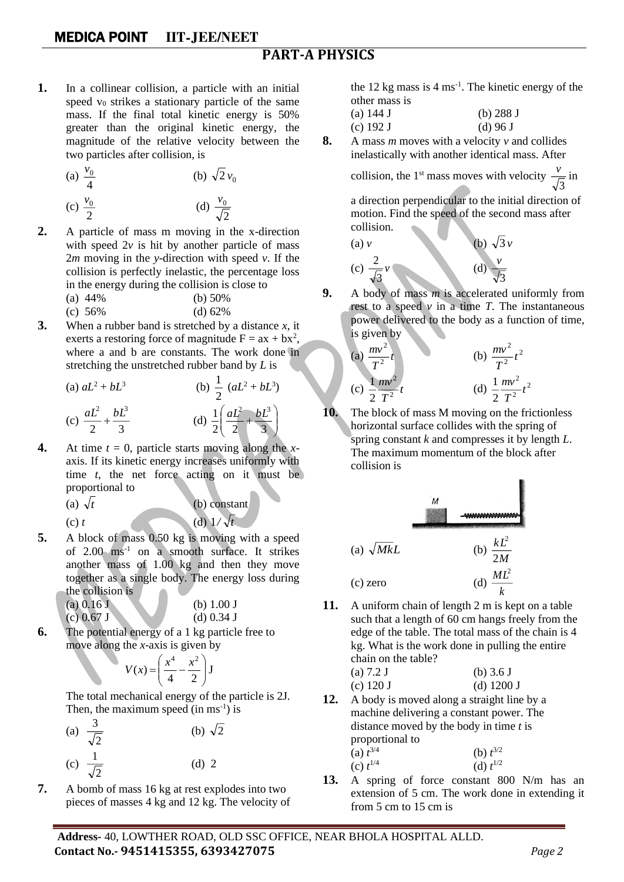#### **PART-A PHYSICS**

**1.** In a collinear collision, a particle with an initial speed  $v_0$  strikes a stationary particle of the same mass. If the final total kinetic energy is 50% greater than the original kinetic energy, the magnitude of the relative velocity between the two particles after collision, is

(a) 
$$
\frac{v_0}{4}
$$
   
\n(b)  $\sqrt{2}v_0$    
\n(c)  $\frac{v_0}{2}$    
\n(d)  $\frac{v_0}{\sqrt{2}}$ 

- **2.** A particle of mass m moving in the x-direction with speed  $2v$  is hit by another particle of mass 2*m* moving in the *y*-direction with speed *v*. If the collision is perfectly inelastic, the percentage loss in the energy during the collision is close to (a) 44% (b) 50%
	- (c) 56% (d) 62%
- **3.** When a rubber band is stretched by a distance *x*, it exerts a restoring force of magnitude  $F = ax + bx^2$ , where a and b are constants. The work done in stretching the unstretched rubber band by *L* is

(a) 
$$
aL^2 + bL^3
$$
  
\n(b)  $\frac{1}{2} (aL^2 + bL^3)$   
\n(c)  $\frac{aL^2}{2} + \frac{bL^3}{3}$   
\n(d)  $\frac{1}{2} \left( \frac{aL^2}{2} + \frac{bL^3}{3} \right)$ 

**4.** At time  $t = 0$ , particle starts moving along the *x*axis. If its kinetic energy increases uniformly with time *t*, the net force acting on it must be proportional to

(b) constant

(d)  $1/\sqrt{t}$ 

(a)  $\sqrt{t}$  $(c)$   $t$ 

5. A block of mass 0.50 kg is moving with a speed of 
$$
2.00 \, \text{ms}^{-1}
$$
 on a smooth surface. It strikes another mass of 1.00 kg and then they move

together as a single body. The energy loss during the collision is  
(a) 
$$
0.16
$$
 J  
(b)  $1.00$  J

$$
(a) 0.103(c) 0.67 J(d) 0.34 J
$$

**6.** The potential energy of a 1 kg particle free to move along the *x*-axis is given by

$$
V(x) = \left(\frac{x^4}{4} - \frac{x^2}{2}\right)J
$$

The total mechanical energy of the particle is 2J. Then, the maximum speed (in  $ms<sup>-1</sup>$ ) is

(a) 
$$
\frac{3}{\sqrt{2}}
$$
 (b)  $\sqrt{2}$   
(c)  $\frac{1}{\sqrt{2}}$  (d) 2

**7.** A bomb of mass 16 kg at rest explodes into two pieces of masses 4 kg and 12 kg. The velocity of

the  $12 \text{ kg}$  mass is  $4 \text{ ms}^{-1}$ . The kinetic energy of the other mass is

| (a) $144 \text{ J}$ | (b) $288J$ |
|---------------------|------------|
| (c) $192 J$         | $(d)$ 96 J |

**8.** A mass *m* moves with a velocity *v* and collides inelastically with another identical mass. After

> collision, the  $1<sup>st</sup>$  mass moves with velocity 3  $\frac{v}{\sqrt{u}}$  in

a direction perpendicular to the initial direction of motion. Find the speed of the second mass after collision.

(a) v  
\n(b) 
$$
\sqrt{3}v
$$
  
\n(c)  $\frac{2}{\sqrt{3}}v$   
\n(d)  $\frac{v}{\sqrt{3}}$ 

**9.** A body of mass *m* is accelerated uniformly from rest to a speed  $\nu$  in a time *T*. The instantaneous power delivered to the body as a function of time, is given by

(a) 
$$
\frac{mv^2}{T^2}t
$$
  
\n(b)  $\frac{mv^2}{T^2}t^2$   
\n(c)  $\frac{1}{2}\frac{mv^2}{T^2}t$   
\n(d)  $\frac{1}{2}\frac{mv^2}{T^2}t^2$ 

**10.** The block of mass M moving on the frictionless horizontal surface collides with the spring of spring constant *k* and compresses it by length *L*. The maximum momentum of the block after collision is

B.

(a) 
$$
\sqrt{Mk}L
$$
  
\n(b)  $\frac{kL^2}{2M}$   
\n(c) zero  
\n(d)  $\frac{ML^2}{k}$ 

**11.** A uniform chain of length 2 m is kept on a table such that a length of 60 cm hangs freely from the edge of the table. The total mass of the chain is 4 kg. What is the work done in pulling the entire chain on the table?

(a) 7.2 J (b) 3.6 J (c) 120 J (d) 1200 J

- **12.** A body is moved along a straight line by a machine delivering a constant power. The distance moved by the body in time *t* is proportional to  $(a) t^{3/4}$  $3/4$  (b)  $t^{3/2}$ 
	- (c)  $t^{1/4}$  $1/4$  (d)  $t^{1/2}$
- **13.** A spring of force constant 800 N/m has an extension of 5 cm. The work done in extending it from 5 cm to 15 cm is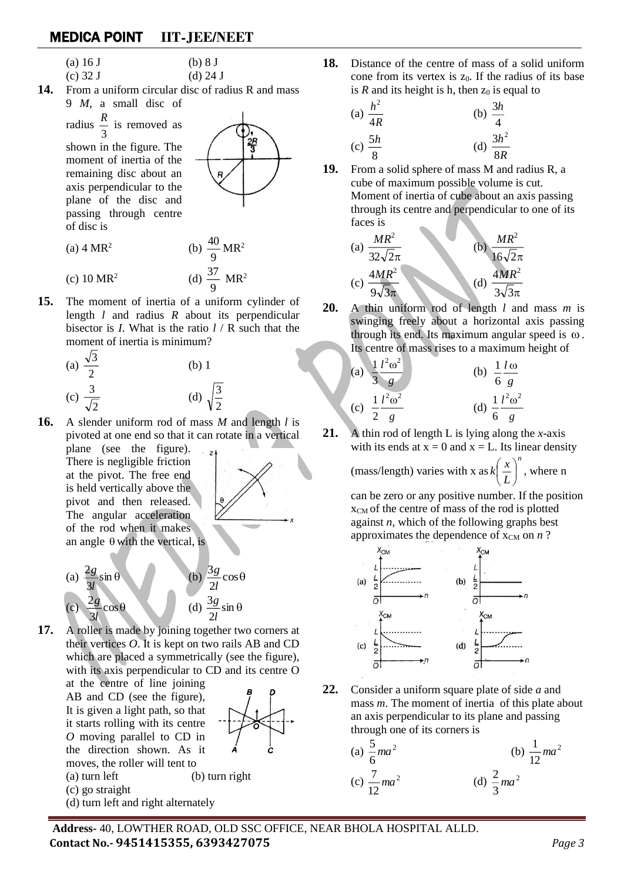(a)  $16 J$  (b)  $8 J$ 

- (c)  $32 \text{ J}$  (d)  $24 \text{ J}$
- **14.** From a uniform circular disc of radius R and mass 9 *M*, a small disc of

radius  $\frac{\pi}{3}$  $\frac{R}{2}$  is removed as

shown in the figure. The moment of inertia of the remaining disc about an axis perpendicular to the plane of the disc and passing through centre of disc is



- $(a)$  4 MR<sup>2</sup> (b)  $\frac{40}{9}$  $\frac{40}{9}$  MR<sup>2</sup> (c)  $10 \text{ MR}^2$ (d)  $\frac{37}{9}$  $\frac{37}{9}$  MR<sup>2</sup>
- **15.** The moment of inertia of a uniform cylinder of length *l* and radius *R* about its perpendicular bisector is *I*. What is the ratio *l* / R such that the moment of inertia is minimum?

(a) 
$$
\frac{\sqrt{3}}{2}
$$
 (b) 1  
(c)  $\frac{3}{\sqrt{2}}$  (d)  $\sqrt{\frac{3}{2}}$ 

**16.** A slender uniform rod of mass *M* and length *l* is pivoted at one end so that it can rotate in a vertical

plane (see the figure). There is negligible friction at the pivot. The free end is held vertically above the pivot and then released. The angular acceleration of the rod when it makes an angle  $\theta$  with the vertical, is





**17.** A roller is made by joining together two corners at their vertices *O*. It is kept on two rails AB and CD which are placed a symmetrically (see the figure), with its axis perpendicular to CD and its centre O

at the centre of line joining AB and CD (see the figure), It is given a light path, so that it starts rolling with its centre *O* moving parallel to CD in the direction shown. As it moves, the roller will tent to





- (c) go straight
- (d) turn left and right alternately



**18.** Distance of the centre of mass of a solid uniform cone from its vertex is z<sub>0</sub>. If the radius of its base is  $R$  and its height is h, then  $z_0$  is equal to

(a) 
$$
\frac{h^2}{4R}
$$
 (b)  $\frac{3h}{4}$   
(c)  $\frac{5h}{8}$  (d)  $\frac{3h^2}{8R}$ 

**19.** From a solid sphere of mass M and radius R, a cube of maximum possible volume is cut. Moment of inertia of cube about an axis passing through its centre and perpendicular to one of its faces is

(a) 
$$
\frac{MR^2}{32\sqrt{2}\pi}
$$
  
\n(b)  $\frac{MR^2}{16\sqrt{2}\pi}$   
\n(c)  $\frac{4MR^2}{9\sqrt{3}\pi}$   
\n(d)  $\frac{4MR^2}{3\sqrt{3}\pi}$ 

**20.** A thin uniform rod of length *l* and mass *m* is swinging freely about a horizontal axis passing through its end. Its maximum angular speed is  $\omega$ . Its centre of mass rises to a maximum height of

(a) 
$$
\frac{1}{3} \frac{l^2 \omega^2}{g}
$$
 (b)  $\frac{1}{6} \frac{l \omega}{g}$   
(c)  $\frac{1}{2} \frac{l^2 \omega^2}{g}$  (d)  $\frac{1}{6} \frac{l^2 \omega^2}{g}$ 

**21.** A thin rod of length L is lying along the *x*-axis with its ends at  $x = 0$  and  $x = L$ . Its linear density

> (mass/length) varies with x as  $k\left(\frac{x}{x}\right)^n$ *L*  $\left| k \right| \stackrel{x}{-}$ J  $\left(\frac{x}{x}\right)$ l  $\left(\frac{x}{x}\right)^n$ , where n

can be zero or any positive number. If the position xCM of the centre of mass of the rod is plotted against *n*, which of the following graphs best approximates the dependence of  $x_{CM}$  on *n* ?



**22.** Consider a uniform square plate of side *a* and mass *m*. The moment of inertia of this plate about an axis perpendicular to its plane and passing through one of its corners is

(a) 
$$
\frac{5}{6}ma^2
$$
 (b)  $\frac{1}{12}ma^2$   
(c)  $\frac{7}{12}ma^2$  (d)  $\frac{2}{3}ma^2$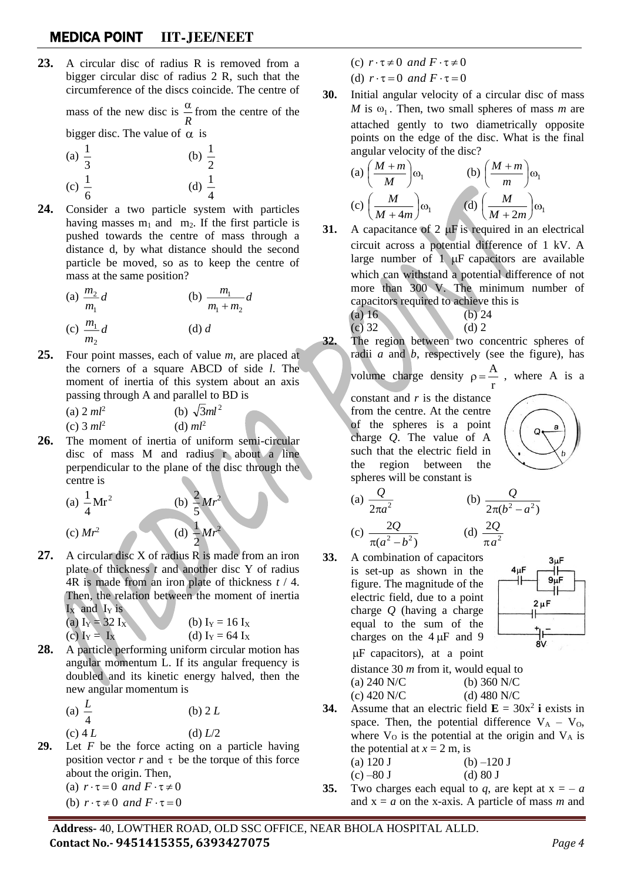**23.** A circular disc of radius R is removed from a bigger circular disc of radius 2 R, such that the circumference of the discs coincide. The centre of

> mass of the new disc is  $\frac{\alpha}{R}$  $\frac{\alpha}{\alpha}$  from the centre of the

bigger disc. The value of  $\alpha$  is 1

(a) 
$$
\frac{1}{3}
$$
  
\n(b)  $\frac{1}{2}$   
\n(c)  $\frac{1}{6}$   
\n(d)  $\frac{1}{4}$ 

**24.** Consider a two particle system with particles having masses  $m_1$  and  $m_2$ . If the first particle is pushed towards the centre of mass through a distance d, by what distance should the second particle be moved, so as to keep the centre of mass at the same position?

(a) 
$$
\frac{m_2}{m_1}d
$$
   
\n(b)  $\frac{m_1}{m_1 + m_2}d$   
\n(c)  $\frac{m_1}{m_1}d$    
\n(d) d

**25.** Four point masses, each of value *m*, are placed at the corners of a square ABCD of side *l*. The moment of inertia of this system about an axis passing through A and parallel to BD is

> $(a)$  2  $ml^2$ (b)  $\sqrt{3}ml^2$ (c) 3 *ml*<sup>2</sup> (d) *ml*<sup>2</sup>

*m* 2

**26.** The moment of inertia of uniform semi-circular disc of mass M and radius r about a line perpendicular to the plane of the disc through the centre is

2

2

(a) 
$$
\frac{1}{4}Mr^2
$$
   
\n(b)  $\frac{2}{5}Mr$   
\n(c)  $Mr^2$    
\n(d)  $\frac{1}{2}Mr$ 

**27.** A circular disc X of radius R is made from an iron plate of thickness *t* and another disc Y of radius 4R is made from an iron plate of thickness *t* / 4. Then, the relation between the moment of inertia  $I_X$  and  $I_Y$  is

(a) 
$$
I_Y = 32 I_X
$$
  
(b)  $I_Y = 16 I_X$   
(c)  $I_Y = I_X$   
(d)  $I_Y = 64 I_X$ 

**28.** A particle performing uniform circular motion has angular momentum L. If its angular frequency is doubled and its kinetic energy halved, then the new angular momentum is

> (a)  $\frac{L}{4}$ *L* (b) 2 *L* (c)  $4 L$  (d)  $L/2$

**29.** Let *F* be the force acting on a particle having position vector  $r$  and  $\tau$  be the torque of this force about the origin. Then, (a)  $r \cdot \tau = 0$  *and*  $F \cdot \tau \neq 0$ 

(b)  $r \cdot \tau \neq 0$  and  $F \cdot \tau = 0$ 

- (c)  $r \cdot \tau \neq 0$  and  $F \cdot \tau \neq 0$
- (d)  $r \cdot \tau = 0$  *and*  $F \cdot \tau = 0$
- **30.** Initial angular velocity of a circular disc of mass *M* is  $\omega_1$ . Then, two small spheres of mass *m* are attached gently to two diametrically opposite points on the edge of the disc. What is the final angular velocity of the disc?

(a) 
$$
\left(\frac{M+m}{M}\right)\omega_1
$$
 (b)  $\left(\frac{M+m}{m}\right)\omega_1$   
(c)  $\left(\frac{M}{M+4m}\right)\omega_1$  (d)  $\left(\frac{M}{M+2m}\right)\omega_1$ 

**31.** A capacitance of 2  $\mu$ F is required in an electrical circuit across a potential difference of 1 kV. A large number of  $1 \mu$ F capacitors are available which can withstand a potential difference of not more than 300 V. The minimum number of capacitors required to achieve this is

(a) 16 (b) 24 (c) 32 (d) 2

**32.** The region between two concentric spheres of radii *a* and *b*, respectively (see the figure), has

volume charge density 
$$
\rho = \frac{P}{r}
$$

A  $p = \frac{A}{n}$ , where A is a

constant and *r* is the distance from the centre. At the centre of the spheres is a point charge *Q*. The value of A such that the electric field in the region between the spheres will be constant is



(a) 
$$
\frac{Q}{2\pi a^2}
$$
 (b)  $\frac{Q}{2\pi (b^2 - a^2)}$   
(c)  $\frac{2Q}{\pi (a^2 - b^2)}$  (d)  $\frac{2Q}{\pi a^2}$ 

33. A combination of capacitors is set-up as shown in the figure. The magnitude of the electric field, due to a point charge 
$$
Q
$$
 (having a charge equal to the sum of the charges on the 4  $\mu$  and 9  $\mu$  capacitors), at a point

 $\overline{c}$ 



distance 30 *m* from it, would equal to (a) 240 N/C (b) 360 N/C (c) 420 N/C (d) 480 N/C

**34.** Assume that an electric field  $\mathbf{E} = 30x^2$  **i** exists in space. Then, the potential difference  $V_A - V_O$ , where  $V_0$  is the potential at the origin and  $V_A$  is the potential at  $x = 2$  m, is

(a) 120 J (b) –120 J (c) –80 J (d) 80 J

**35.** Two charges each equal to *q*, are kept at  $x = -a$ and  $x = a$  on the x-axis. A particle of mass *m* and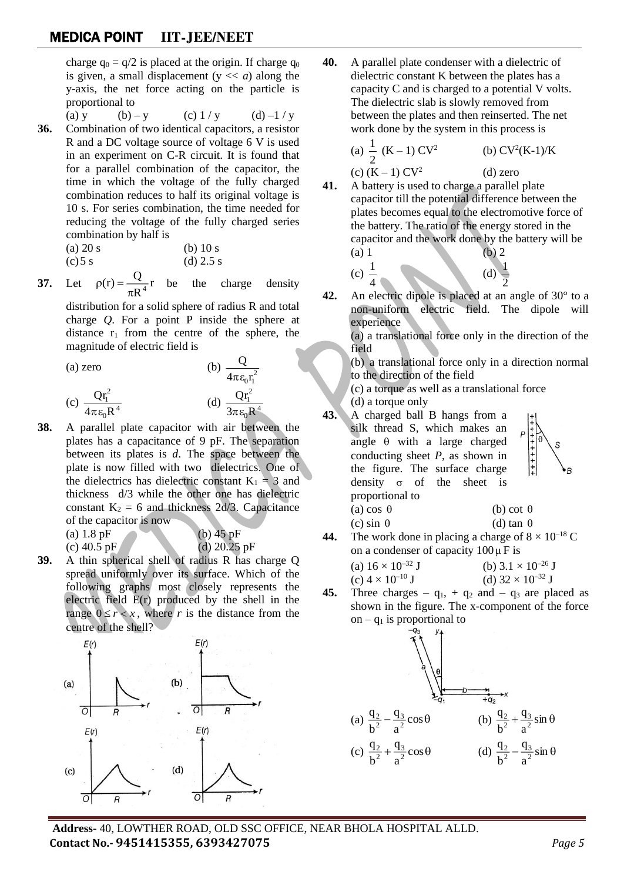charge  $q_0 = q/2$  is placed at the origin. If charge  $q_0$ is given, a small displacement  $(y \ll a)$  along the y-axis, the net force acting on the particle is proportional to

(a) y (b) – y (c)  $1 / y$  (d) –1 / y **36.** Combination of two identical capacitors, a resistor R and a DC voltage source of voltage 6 V is used in an experiment on C-R circuit. It is found that for a parallel combination of the capacitor, the time in which the voltage of the fully charged combination reduces to half its original voltage is 10 s. For series combination, the time needed for reducing the voltage of the fully charged series combination by half is

| $(a)$ 20 s | (b) $10 s$  |
|------------|-------------|
| $(c)$ 5 s  | (d) $2.5 s$ |

**37.** Let  $\frac{1}{R^4}$ r  $\rho(r) = \frac{Q}{\pi R^4} r$  be the charge density

distribution for a solid sphere of radius R and total charge *Q*. For a point P inside the sphere at distance  $r_1$  from the centre of the sphere, the magnitude of electric field is

Q

4

 $(a)$  zero

$$
\frac{Qr_1^2}{4\pi\varepsilon_0R^4}
$$
\n
$$
(c) \frac{Qr_1^2}{4\pi\varepsilon_0R^4}
$$
\n
$$
(d) \frac{Qr_1^2}{3\pi\varepsilon_0R}
$$

**38.** A parallel plate capacitor with air between the plates has a capacitance of 9 pF. The separation between its plates is *d*. The space between the plate is now filled with two dielectrics. One of the dielectrics has dielectric constant  $K_1 = 3$  and thickness d/3 while the other one has dielectric constant  $K_2 = 6$  and thickness 2d/3. Capacitance of the capacitor is now

(a)  $1.8 \text{ pF}$  (b)  $45 \text{ pF}$ 

(c) 
$$
40.5 \text{ pF}
$$
 (d)  $20.25 \text{ pF}$ 

**39.** A thin spherical shell of radius R has charge Q spread uniformly over its surface. Which of the following graphs most closely represents the electric field E(r) produced by the shell in the range  $0 \le r < x$ , where *r* is the distance from the centre of the shell?



**40.** A parallel plate condenser with a dielectric of dielectric constant K between the plates has a capacity C and is charged to a potential V volts. The dielectric slab is slowly removed from between the plates and then reinserted. The net work done by the system in this process is

(a) 
$$
\frac{1}{2}
$$
 (K-1) CV<sup>2</sup> (b) CV<sup>2</sup>(K-1)/K

(d) zero

(d)

1

- **41.** A battery is used to charge a parallel plate capacitor till the potential difference between the plates becomes equal to the electromotive force of the battery. The ratio of the energy stored in the capacitor and the work done by the battery will be (a) 1 (b) 2
	- (c)  $\frac{1}{4}$

1

2 **42.** An electric dipole is placed at an angle of 30° to a non-uniform electric field. The dipole will experience

> (a) a translational force only in the direction of the field

(b) a translational force only in a direction normal to the direction of the field

- (c) a torque as well as a translational force
- (d) a torque only

(c)  $(K - 1) CV<sup>2</sup>$ 

**43.** A charged ball B hangs from a silk thread S, which makes an angle  $\theta$  with a large charged conducting sheet *P*, as shown in the figure. The surface charge density  $\sigma$  of the sheet is proportional to (a) cos  $\theta$ (b) cot  $\theta$ 

(c) sin  $\theta$ (d) tan  $\theta$ **44.** The work done in placing a charge of  $8 \times 10^{-18}$  C on a condenser of capacity  $100 \mu$ F is

- (a)  $16 \times 10^{-32}$  J<br>(c)  $4 \times 10^{-10}$  J<br>(d)  $32 \times 10^{-32}$  J (d)  $32 \times 10^{-32}$  J
- **45.** Three charges  $q_1$ , +  $q_2$  and  $q_3$  are placed as shown in the figure. The x-component of the force on –  $q_1$  is proportional to

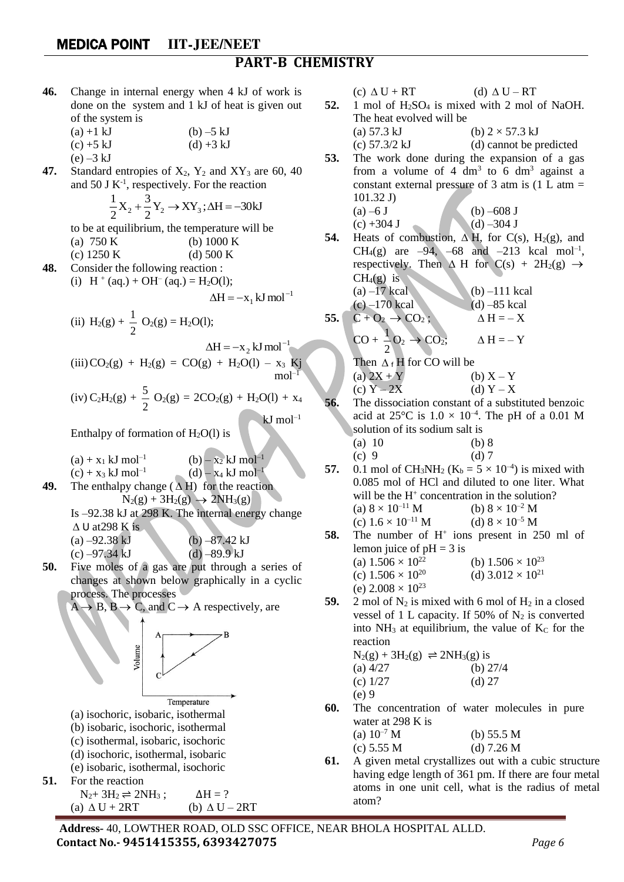#### MEDICA POINT **IIT-JEE/NEET PART-B CHEMISTRY**

**46.** Change in internal energy when 4 kJ of work is done on the system and 1 kJ of heat is given out of the system is

| $(a) + 1 kJ$ | $(b) - 5 kJ$ |
|--------------|--------------|
| $(c) + 5 kJ$ | $(d) + 3 kJ$ |
| $(e) - 3 kJ$ |              |

**47.** Standard entropies of  $X_2$ ,  $Y_2$  and  $XY_3$  are 60, 40 and 50 J  $K^{-1}$ , respectively. For the reaction

$$
\frac{1}{2}X_2 + \frac{3}{2}Y_2 \rightarrow XY_3; \Delta H = -30kJ
$$

to be at equilibrium, the temperature will be (a) 750 K (b) 1000 K

(c)  $1250 \text{ K}$  (d)  $500 \text{ K}$ **48.** Consider the following reaction :

(i)  $H^+$  (aq.) + OH<sup>-</sup> (aq.) = H<sub>2</sub>O(1);

$$
\Delta H = -x_1 kJ \text{ mol}^{-1}
$$

(ii) 
$$
H_2(g) + \frac{1}{2} O_2(g) = H_2O(1);
$$

$$
\Delta H = -x_2 \text{ kJ mol}^{-1}
$$
  
(iii)  $CO_2(g) + H_2(g) = CO(g) + H_2O(l) - x_3 \text{ Kj}$   
mol<sup>-1</sup>

(iv) 
$$
C_2H_2(g) + \frac{5}{2} O_2(g) = 2CO_2(g) + H_2O(l) + x_4
$$

 $kJ$  mol<sup>-1</sup>

Enthalpy of formation of  $H_2O(1)$  is

(a) + x<sup>1</sup> kJ mol–1 (b) – x<sup>2</sup> kJ mol–1 (c) + x<sup>3</sup> kJ mol–1 (d) – x<sup>4</sup> kJ mol–1

**49.** The enthalpy change  $(\Delta H)$  for the reaction  $N_2(g) + 3H_2(g) \rightarrow 2NH_3(g)$ Is –92.38 kJ at 298 K. The internal energy change

 $\Delta$  U at 298 K is

(a)  $-92.38 \text{ kJ}$  (b)  $-87.42 \text{ kJ}$ (c)  $-97.34 \text{ kJ}$  (d)  $-89.9 \text{ kJ}$ 

**50.** Five moles of a gas are put through a series of changes at shown below graphically in a cyclic process. The processes

 $A \rightarrow B$ ,  $B \rightarrow C$ , and  $C \rightarrow A$  respectively, are



- (c) isothermal, isobaric, isochoric
- (d) isochoric, isothermal, isobaric
- (e) isobaric, isothermal, isochoric

51. For the reaction 
$$
\frac{1}{2}
$$

 $N_2$ + 3H<sub>2</sub>  $\rightleftharpoons$  2NH<sub>3</sub>;  $\Delta H = ?$ (a)  $\Delta U + 2RT$  (b)  $\Delta U - 2RT$   $(c) \Delta U + RT$  (d)  $\Delta U - RT$ 

**52.** 1 mol of H<sub>2</sub>SO<sub>4</sub> is mixed with 2 mol of NaOH. The heat evolved will be

(a) 57.3 kJ  
(b) 
$$
2 \times 57.3
$$
 kJ  
(c) 57.3/2 kJ  
(d) cannot be predicted

53. The work done during the expansion of a gas from a volume of 4 dm<sup>3</sup> to 6 dm<sup>3</sup> against a constant external pressure of 3 atm is 
$$
(1 \text{ L atm} = 101.32 \text{ J})
$$

(a) –6 J (b) –608 J (c) +304 J (d) –304 J

**54.** Heats of combustion,  $\Delta H$ , for C(s), H<sub>2</sub>(g), and CH<sub>4</sub>(g) are  $-94$ ,  $-68$  and  $-213$  kcal mol<sup>-1</sup>, respectively. Then  $\Delta$  H for  $C(s) + 2H_2(g) \rightarrow$  $CH<sub>4</sub>(g)$  is (a)  $-17$  kcal (b)  $-111$  kcal (c) –170 kcal (d) –85 kcal 55.  $C + O_2 \rightarrow CO_2$ ;  $\Delta H = -X$ 

$$
CO + \frac{1}{2}O_2 \rightarrow CO_2; \qquad \Delta H = -Y
$$

Then 
$$
\Delta_f H
$$
 for CO will be  
\n(a)  $2X + Y$   
\n(b)  $X - Y$   
\n(c)  $Y - 2X$   
\n(d)  $Y - X$ 

**56.** The dissociation constant of a substituted benzoic acid at  $25^{\circ}$ C is  $1.0 \times 10^{-4}$ . The pH of a 0.01 M solution of its sodium salt is

(a) 10 (b) 8 (c) 9 (d) 7

- **57.** 0.1 mol of CH<sub>3</sub>NH<sub>2</sub> ( $K_b = 5 \times 10^{-4}$ ) is mixed with 0.085 mol of HCl and diluted to one liter. What will be the H<sup>+</sup> concentration in the solution? (a)  $8 \times 10^{-11}$  M (b)  $8 \times 10^{-2}$  M (c)  $1.6 \times 10^{-11}$  M (d)  $8 \times 10^{-5}$  M
- **58.** The number of H<sup>+</sup> ions present in 250 ml of lemon juice of  $pH = 3$  is (a)  $1.506 \times 10^{22}$  (b)  $1.506 \times 10^{23}$ (c)  $1.506 \times 10^{20}$ (d)  $3.012 \times 10^{21}$ 
	- (e)  $2.008 \times 10^{23}$
- **59.** 2 mol of  $N_2$  is mixed with 6 mol of  $H_2$  in a closed vessel of 1 L capacity. If 50% of  $N_2$  is converted into  $NH_3$  at equilibrium, the value of  $K_C$  for the reaction

$$
N_2(g) + 3H_2(g) \rightleftharpoons 2NH_3(g) \text{ is}
$$
\n(a) 4/27 (b) 27/4  
\n(c) 1/27 (d) 27  
\n(e) 9

**60.** The concentration of water molecules in pure water at 298 K is

| (a) $10^{-7}$ M | (b) $55.5 M$ |
|-----------------|--------------|
| (c) $5.55 M$    | (d) $7.26 M$ |

**61.** A given metal crystallizes out with a cubic structure having edge length of 361 pm. If there are four metal atoms in one unit cell, what is the radius of metal atom?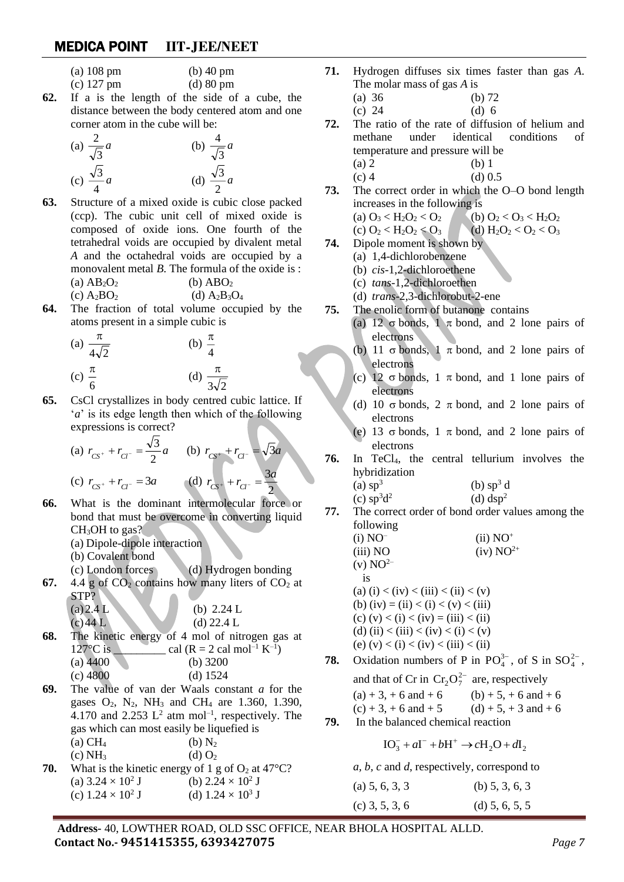- (a) 108 pm (b) 40 pm
- (c) 127 pm (d) 80 pm
- **62.** If a is the length of the side of a cube, the distance between the body centered atom and one corner atom in the cube will be:

(a) 
$$
\frac{2}{\sqrt{3}}a
$$
   
\n(b)  $\frac{4}{\sqrt{3}}a$    
\n(c)  $\frac{\sqrt{3}}{4}a$    
\n(d)  $\frac{\sqrt{3}}{2}a$ 

- **63.** Structure of a mixed oxide is cubic close packed (ccp). The cubic unit cell of mixed oxide is composed of oxide ions. One fourth of the tetrahedral voids are occupied by divalent metal *A* and the octahedral voids are occupied by a monovalent metal *B*. The formula of the oxide is : (a)  $AB_2O_2$  (b)  $ABO_2$ (c)  $A_2BO_2$  (d)  $A_2B_3O_4$
- **64.** The fraction of total volume occupied by the atoms present in a simple cubic is

(a) 
$$
\frac{\pi}{4\sqrt{2}}
$$
 (b)  $\frac{\pi}{4}$   
(c)  $\frac{\pi}{6}$  (d)  $\frac{\pi}{3\sqrt{2}}$ 

**65.** CsCl crystallizes in body centred cubic lattice. If '*a*' is its edge length then which of the following expressions is correct?

(a) 
$$
r_{CS^+} + r_{Cl^-} = \frac{\sqrt{3}}{2}a
$$
 (b)  $r_{CS^+} + r_{Cl^-} = \sqrt{3}a$   
(c)  $r_{CS^+} + r_{Cl^-} = 3a$  (d)  $r_{CS^+} + r_{Cl^-} = \frac{3a}{2}$ 

- **66.** What is the dominant intermolecular force or bond that must be overcome in converting liquid CH<sub>3</sub>OH to gas?
	- (a) Dipole-dipole interaction
	- (b) Covalent bond
- (c) London forces (d) Hydrogen bonding
- **67.** 4.4 g of  $CO<sub>2</sub>$  contains how many liters of  $CO<sub>2</sub>$  at STP?  $\triangle$

| $(a)$ 2.4 L | (b) $2.24 L$ |
|-------------|--------------|
| $(c)$ 44 L  | (d) $22.4 L$ |

- **68.** The kinetic energy of 4 mol of nitrogen gas at  $127^{\circ}$ C is cal (R = 2 cal mol<sup>-1</sup> K<sup>-1</sup>) (a)  $\overline{4400}$  (b) 3200
	- (c)  $4800$  (d)  $1524$
- **69.** The value of van der Waals constant *a* for the gases  $O_2$ ,  $N_2$ ,  $NH_3$  and  $CH_4$  are 1.360, 1.390, 4.170 and 2.253  $L^2$  atm mol<sup>-1</sup>, respectively. The gas which can most easily be liquefied is (a)  $CH_4$  (b)  $N_2$
- (c)  $NH_3$  (d)  $O_2$ **70.** What is the kinetic energy of 1 g of  $O_2$  at 47<sup>°</sup>C? (a)  $3.24 \times 10^2$  J J (b)  $2.24 \times 10^2$  J (c)  $1.24 \times 10^2$  J J (d)  $1.24 \times 10^3$  J
- **71.** Hydrogen diffuses six times faster than gas *A*. The molar mass of gas *A* is
	- (a) 36 (b) 72
	- (c) 24 (d) 6
- **72.** The ratio of the rate of diffusion of helium and methane under identical conditions of temperature and pressure will be (a) 2 (b) 1
	- (c) 4 (d)  $0.5$
- **73.** The correct order in which the O–O bond length increases in the following is (a)  $O_3 < H_2O_2 < O_2$  (b)  $O_2 < O_3 < H_2O_2$ 
	- (c)  $O_2 < H_2O_2 < O_3$  (d)  $H_2O_2 < O_2 < O_3$
- **74.** Dipole moment is shown by
	- (a) 1,4-dichlorobenzene
	- (b) *cis*-1,2-dichloroethene
	- (c) *tans*-1,2-dichloroethen
	- (d) *trans*-2,3-dichlorobut-2-ene
- **75.** The enolic form of butanone contains
	- (a) 12  $\sigma$  bonds, 1  $\pi$  bond, and 2 lone pairs of electrons
	- (b) 11  $\sigma$  bonds, 1  $\pi$  bond, and 2 lone pairs of electrons
	- (c) 12  $\sigma$  bonds, 1  $\pi$  bond, and 1 lone pairs of electrons
	- (d) 10  $\sigma$  bonds, 2  $\pi$  bond, and 2 lone pairs of electrons
	- (e) 13  $\sigma$  bonds, 1  $\pi$  bond, and 2 lone pairs of electrons
- **76.** In TeCl4, the central tellurium involves the hybridization
	- (a)  $sp<sup>3</sup>$ (b)  $sp^3$  d  $(c)$  sp<sup>3</sup>d<sup>2</sup> (d)  $\text{dsp}^2$
- **77.** The correct order of bond order values among the following
	- $(i) NO<sup>-</sup>$  $(ii) NO^+$ (iii) NO (iv)  $NO^{2+}$  $(v) NO<sup>2–</sup>$ is (a) (i) < (iv) < (iii) < (ii) < (v) (b) (iv) = (ii) < (i) < (v) < (iii) (c)  $(v) < (i) < (iv) = (iii) < (ii)$ (d) (ii) < (iii) < (iv) < (i) < (v) (e) (v) < (i) < (iv) < (iii) < (iii)
- **78.** Oxidation numbers of P in  $PO_4^{3-}$ , of S in  $SO_4^{2-}$ ,

and that of Cr in  $Cr_2O_7^{2-}$  are, respectively  $(a) + 3$ , + 6 and + 6 (b) + 5, + 6 and + 6  $(c) + 3 + 6$  and  $+ 5$  (d)  $+ 5 + 3$  and  $+ 6$ 

**79.** In the balanced chemical reaction

$$
IO_3^- + aI^- + bH^+ \rightarrow cH_2O + dI_2
$$

*a, b, c* and *d*, respectively, correspond to

| (a) $5, 6, 3, 3$ | (b) $5, 3, 6, 3$ |  |  |
|------------------|------------------|--|--|
| $(c)$ 3, 5, 3, 6 | (d) $5, 6, 5, 5$ |  |  |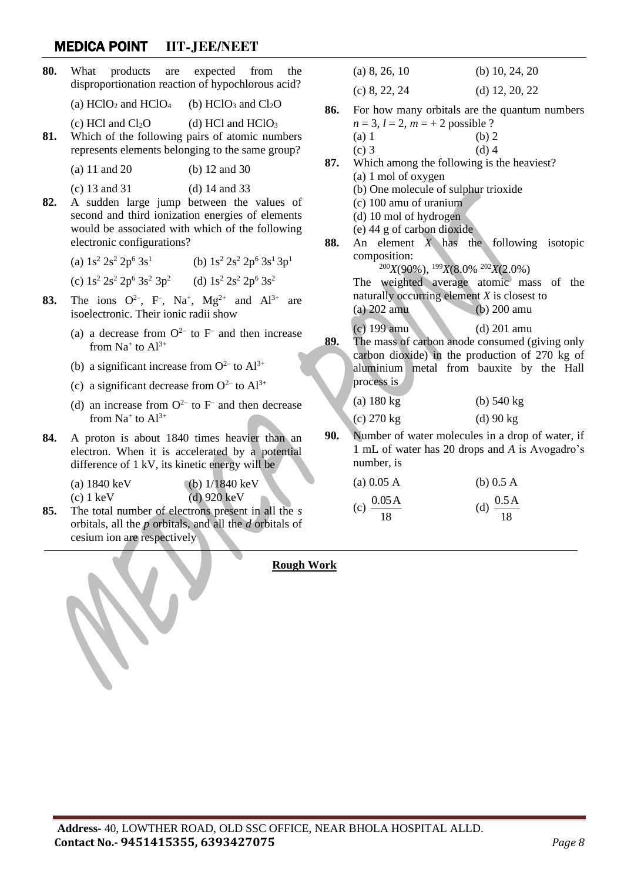| 80. | What                                                                                                                                              | products are expected from<br>the                        |     | (a) 8, 26, 10                                                                   | (b) $10, 24, 20$                                                                                   |  |
|-----|---------------------------------------------------------------------------------------------------------------------------------------------------|----------------------------------------------------------|-----|---------------------------------------------------------------------------------|----------------------------------------------------------------------------------------------------|--|
|     | disproportionation reaction of hypochlorous acid?                                                                                                 |                                                          |     | (c) 8, 22, 24                                                                   | (d) $12, 20, 22$                                                                                   |  |
|     | (a) $HCIO2$ and $HCIO4$<br>(b) $HCIO3$ and $Cl2O$<br>(c) HCl and $Cl2O$<br>(d) HCl and $HCIO3$                                                    |                                                          | 86. |                                                                                 | For how many orbitals are the quantum numbers                                                      |  |
|     |                                                                                                                                                   |                                                          |     | $n = 3, l = 2, m = + 2$ possible ?                                              |                                                                                                    |  |
| 81. |                                                                                                                                                   | Which of the following pairs of atomic numbers           |     | (a) 1                                                                           | (b) 2                                                                                              |  |
|     | represents elements belonging to the same group?                                                                                                  |                                                          |     | $(c)$ 3                                                                         | $(d)$ 4                                                                                            |  |
|     | $(a)$ 11 and 20                                                                                                                                   | (b) $12$ and $30$                                        | 87. | Which among the following is the heaviest?<br>(a) 1 mol of oxygen               |                                                                                                    |  |
|     | $(c)$ 13 and 31                                                                                                                                   | (d) $14$ and $33$                                        |     | (b) One molecule of sulphur trioxide                                            |                                                                                                    |  |
| 82. |                                                                                                                                                   | A sudden large jump between the values of                |     | $(c)$ 100 amu of uranium                                                        |                                                                                                    |  |
|     |                                                                                                                                                   | second and third ionization energies of elements         |     | (d) 10 mol of hydrogen                                                          |                                                                                                    |  |
|     | would be associated with which of the following                                                                                                   |                                                          |     | (e) 44 g of carbon dioxide                                                      |                                                                                                    |  |
|     | electronic configurations?                                                                                                                        |                                                          | 88. |                                                                                 | An element $X$ has the following isotopic                                                          |  |
|     |                                                                                                                                                   |                                                          |     | composition:                                                                    |                                                                                                    |  |
| 83. |                                                                                                                                                   | (a) $1s^2 2s^2 2p^6 3s^1$ (b) $1s^2 2s^2 2p^6 3s^1 3p^1$ |     | $^{200}X(90\%)$ , $^{199}X(8.0\%$ $^{202}X(2.0\%)$                              |                                                                                                    |  |
|     | (c) $1s^2 2s^2 2p^6 3s^2 3p^2$ (d) $1s^2 2s^2 2p^6 3s^2$                                                                                          |                                                          |     |                                                                                 | The weighted average atomic mass of the                                                            |  |
|     | The ions $Q^{2-}$ , F, Na <sup>+</sup> , Mg <sup>2+</sup> and Al <sup>3+</sup> are<br>isoelectronic. Their ionic radii show                       |                                                          |     | naturally occurring element $X$ is closest to<br>$(b)$ 200 amu<br>$(a)$ 202 amu |                                                                                                    |  |
|     | (a) a decrease from $O^{2-}$ to F <sup>-</sup> and then increase<br>from $Na^+$ to $Al^{3+}$                                                      |                                                          |     | $(c)$ 199 amu                                                                   | $(d)$ 201 amu<br>The mass of carbon anode consumed (giving only                                    |  |
|     | (b) a significant increase from $O^{2-}$ to $Al^{3+}$                                                                                             |                                                          |     |                                                                                 | carbon dioxide) in the production of 270 kg of<br>aluminium metal from bauxite by the Hall         |  |
|     | (c) a significant decrease from $O^{2-}$ to $Al^{3+}$                                                                                             |                                                          |     | process is                                                                      |                                                                                                    |  |
|     | (d) an increase from $O^{2-}$ to F <sup>-</sup> and then decrease<br>from $Na^+$ to $Al^{3+}$                                                     |                                                          |     | $(a)$ 180 kg                                                                    | (b) $540 \text{ kg}$                                                                               |  |
|     |                                                                                                                                                   |                                                          |     | (c) $270 \text{ kg}$                                                            | $(d)$ 90 kg                                                                                        |  |
| 84. | A proton is about 1840 times heavier than an<br>electron. When it is accelerated by a potential<br>difference of 1 kV, its kinetic energy will be |                                                          | 90. | number, is                                                                      | Number of water molecules in a drop of water, if<br>1 mL of water has 20 drops and A is Avogadro's |  |
|     | (a) $1840 \,\text{keV}$                                                                                                                           | (b) $1/1840 \text{ keV}$                                 |     | (a) 0.05 A                                                                      | (b) $0.5 A$                                                                                        |  |
|     | $(c)$ 1 keV                                                                                                                                       | $(d)$ 920 keV                                            |     | 0.05A                                                                           | $\therefore$ 0.5 A                                                                                 |  |

**85.** The total number of electrons present in all the *s* orbitals, all the *p* orbitals, and all the *d* orbitals of cesium ion are respectively

**Rough Work**

 $(c) \frac{0.05}{18}$ 

(d)  $\frac{0.37}{18}$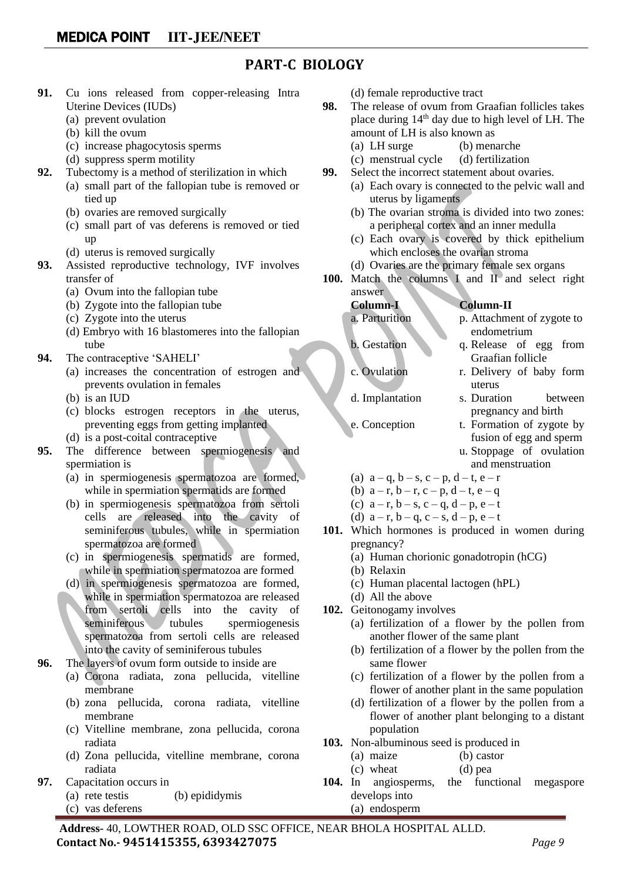#### **PART-C BIOLOGY**

- **91.** Cu ions released from copper-releasing Intra Uterine Devices (IUDs)
	- (a) prevent ovulation
	- (b) kill the ovum
	- (c) increase phagocytosis sperms
	- (d) suppress sperm motility
- **92.** Tubectomy is a method of sterilization in which
	- (a) small part of the fallopian tube is removed or tied up
	- (b) ovaries are removed surgically
	- (c) small part of vas deferens is removed or tied up
	- (d) uterus is removed surgically
- **93.** Assisted reproductive technology, IVF involves transfer of
	- (a) Ovum into the fallopian tube
	- (b) Zygote into the fallopian tube
	- (c) Zygote into the uterus
	- (d) Embryo with 16 blastomeres into the fallopian tube
- **94.** The contraceptive 'SAHELI'
	- (a) increases the concentration of estrogen and prevents ovulation in females
	- (b) is an IUD
	- (c) blocks estrogen receptors in the uterus, preventing eggs from getting implanted
	- (d) is a post-coital contraceptive
- **95.** The difference between spermiogenesis and spermiation is
	- (a) in spermiogenesis spermatozoa are formed, while in spermiation spermatids are formed
	- (b) in spermiogenesis spermatozoa from sertoli cells are released into the cavity of seminiferous tubules, while in spermiation spermatozoa are formed
	- (c) in spermiogenesis spermatids are formed, while in spermiation spermatozoa are formed
	- (d) in spermiogenesis spermatozoa are formed, while in spermiation spermatozoa are released from sertoli cells into the cavity of seminiferous tubules spermiogenesis spermatozoa from sertoli cells are released into the cavity of seminiferous tubules
- **96.** The layers of ovum form outside to inside are
	- (a) Corona radiata, zona pellucida, vitelline membrane
	- (b) zona pellucida, corona radiata, vitelline membrane
	- (c) Vitelline membrane, zona pellucida, corona radiata
	- (d) Zona pellucida, vitelline membrane, corona radiata
- **97.** Capacitation occurs in
	- (a) rete testis (b) epididymis
	- (c) vas deferens
- (d) female reproductive tract
- **98.** The release of ovum from Graafian follicles takes place during  $14<sup>th</sup>$  day due to high level of LH. The amount of LH is also known as
	- (a) LH surge (b) menarche
	- (c) menstrual cycle (d) fertilization
- **99.** Select the incorrect statement about ovaries.
	- (a) Each ovary is connected to the pelvic wall and uterus by ligaments
	- (b) The ovarian stroma is divided into two zones: a peripheral cortex and an inner medulla
	- (c) Each ovary is covered by thick epithelium which encloses the ovarian stroma
	- (d) Ovaries are the primary female sex organs
- **100.** Match the columns I and II and select right answer

**Column-I Column-II**

- a. Parturition p. Attachment of zygote to endometrium
- b. Gestation q. Release of egg from Graafian follicle
- c. Ovulation r. Delivery of baby form uterus
- d. Implantation s. Duration between pregnancy and birth
- e. Conception t. Formation of zygote by fusion of egg and sperm
	- u. Stoppage of ovulation and menstruation
- (a)  $a q$ ,  $b s$ ,  $c p$ ,  $d t$ ,  $e r$
- (b)  $a-r, b-r, c-p, d-t, e-q$
- (c)  $a r$ ,  $b s$ ,  $c q$ ,  $d p$ ,  $e t$
- (d)  $a r$ ,  $b q$ ,  $c s$ ,  $d p$ ,  $e t$
- **101.** Which hormones is produced in women during pregnancy?
	- (a) Human chorionic gonadotropin (hCG)
	- (b) Relaxin
	- (c) Human placental lactogen (hPL)
	- (d) All the above
- **102.** Geitonogamy involves
	- (a) fertilization of a flower by the pollen from another flower of the same plant
	- (b) fertilization of a flower by the pollen from the same flower
	- (c) fertilization of a flower by the pollen from a flower of another plant in the same population
	- (d) fertilization of a flower by the pollen from a flower of another plant belonging to a distant population
- **103.** Non-albuminous seed is produced in
	- (a) maize (b) castor
	- (c) wheat (d) pea
- **104.** In angiosperms, the functional megaspore develops into
	- (a) endosperm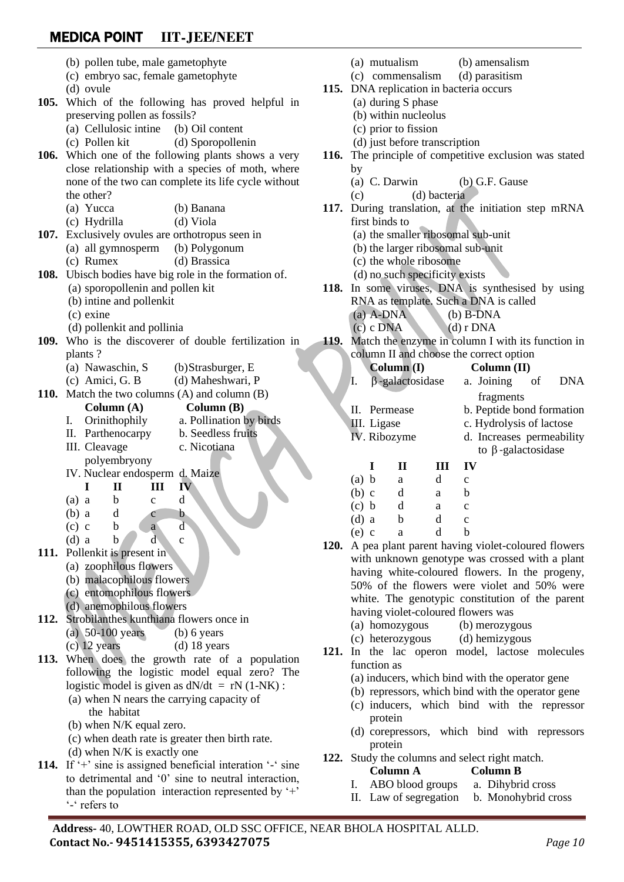- (b) pollen tube, male gametophyte (c) embryo sac, female gametophyte (d) ovule **105.** Which of the following has proved helpful in preserving pollen as fossils? (a) Cellulosic intine (b) Oil content (c) Pollen kit (d) Sporopollenin **106.** Which one of the following plants shows a very close relationship with a species of moth, where none of the two can complete its life cycle without the other? (a) Yucca (b) Banana (c) Hydrilla (d) Viola **107.** Exclusively ovules are orthotropus seen in (a) all gymnosperm (b) Polygonum (c) Rumex (d) Brassica **108.** Ubisch bodies have big role in the formation of. (a) sporopollenin and pollen kit (b) intine and pollenkit (c) exine (d) pollenkit and pollinia **109.** Who is the discoverer of double fertilization in plants ? (a) Nawaschin, S (b)Strasburger, E (c) Amici, G. B (d) Maheshwari, P **110.** Match the two columns (A) and column (B) **Column (A) Column (B)** I. Orinithophily a. Pollination by birds II. Parthenocarpy b. Seedless fruits III. Cleavage c. Nicotiana polyembryony IV. Nuclear endosperm d. Maize **I II III IV**  $(a)$  a b c d  $(b)$  a d c b  $(c) c$  b a d (d) a b d c **111.** Pollenkit is present in (a) zoophilous flowers (b) malacophilous flowers (c) entomophilous flowers (d) anemophilous flowers **112.** Strobilanthes kunthiana flowers once in (a)  $50-100$  years (b) 6 years  $(c)$  12 years (d) 18 years **113.** When does the growth rate of a population following the logistic model equal zero? The logistic model is given as  $dN/dt = rN(1-NK)$ : (a) when N nears the carrying capacity of the habitat (b) when N/K equal zero. (c) when death rate is greater then birth rate. (d) when N/K is exactly one (a) mutualism (b) amensalism (c) commensalism (d) parasitism **115.** DNA replication in bacteria occurs (a) during S phase (b) within nucleolus (c) prior to fission (d) just before transcription **116.** The principle of competitive exclusion was stated by (a) C. Darwin (b) G.F. Gause (c) (d) bacteria **117.** During translation, at the initiation step mRNA first binds to (a) the smaller ribosomal sub-unit (b) the larger ribosomal sub-unit (c) the whole ribosome (d) no such specificity exists **118.** In some viruses, DNA is synthesised by using RNA as template. Such a DNA is called (a) A-DNA (b) B-DNA  $(c)$  c DNA  $(d)$  r DNA **119.** Match the enzyme in column I with its function in column II and choose the correct option **Column (I) Column (II)** I. -galactosidase a. Joining of DNA fragments II. Permease b. Peptide bond formation III. Ligase c. Hydrolysis of lactose IV. Ribozyme d. Increases permeability to  $\beta$ -galactosidase **I II III IV**  $(a) b a d c$ (b) c d a b  $(c)$  b d a c  $(d)$  a b d c (e) c a d b **120.** A pea plant parent having violet-coloured flowers with unknown genotype was crossed with a plant having white-coloured flowers. In the progeny, 50% of the flowers were violet and 50% were white. The genotypic constitution of the parent having violet-coloured flowers was (a) homozygous (b) merozygous (c) heterozygous (d) hemizygous **121.** In the lac operon model, lactose molecules function as (a) inducers, which bind with the operator gene (b) repressors, which bind with the operator gene (c) inducers, which bind with the repressor protein (d) corepressors, which bind with repressors protein
- **114.** If '+' sine is assigned beneficial interation '-' sine to detrimental and '0' sine to neutral interaction, than the population interaction represented by  $+$ '-' refers to
- **122.** Study the columns and select right match.

#### **Column A Column B**

- I. ABO blood groups a. Dihybrid cross
- II. Law of segregation b. Monohybrid cross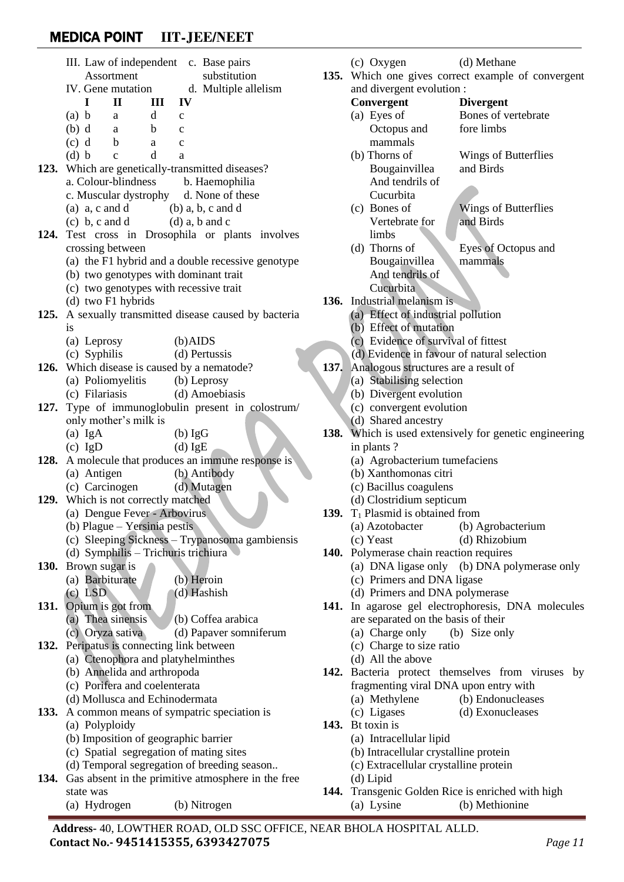|      | III. Law of independent c. Base pairs                        |                                                   |  |  |  |  |
|------|--------------------------------------------------------------|---------------------------------------------------|--|--|--|--|
|      | <b>Assortment</b>                                            | substitution                                      |  |  |  |  |
|      | IV. Gene mutation                                            | d. Multiple allelism                              |  |  |  |  |
|      | $\mathbf{H}$<br>L<br>П                                       | IV                                                |  |  |  |  |
|      | $(a)$ b<br>d<br>a<br>$\mathbf c$                             |                                                   |  |  |  |  |
|      | $(b)$ d<br>b<br>a<br>$\mathbf{C}$                            |                                                   |  |  |  |  |
|      | (c) d<br>$\mathbf{b}$<br>$\mathbf{C}$<br>a                   |                                                   |  |  |  |  |
|      | (d) b<br>d<br>$\mathbf{c}$<br>a                              |                                                   |  |  |  |  |
|      | 123. Which are genetically-transmitted diseases?             |                                                   |  |  |  |  |
|      | a. Colour-blindness b. Haemophilia                           |                                                   |  |  |  |  |
|      | c. Muscular dystrophy d. None of these                       |                                                   |  |  |  |  |
|      | (a) $a, c \text{ and } d$ (b) $a, b, c \text{ and } d$       |                                                   |  |  |  |  |
|      | $(c)$ b, c and d                                             | $(d)$ a, b and c                                  |  |  |  |  |
| 124. | Test cross in Drosophila or plants involves                  |                                                   |  |  |  |  |
|      | crossing between                                             |                                                   |  |  |  |  |
|      |                                                              | (a) the F1 hybrid and a double recessive genotype |  |  |  |  |
|      | (b) two genotypes with dominant trait                        |                                                   |  |  |  |  |
|      | (c) two genotypes with recessive trait<br>(d) two F1 hybrids |                                                   |  |  |  |  |
| 125. |                                                              | A sexually transmitted disease caused by bacteria |  |  |  |  |
|      | is                                                           |                                                   |  |  |  |  |
|      | (a) Leprosy                                                  | $(b)$ AIDS                                        |  |  |  |  |
|      | (c) Syphilis                                                 | (d) Pertussis                                     |  |  |  |  |
| 126. | Which disease is caused by a nematode?                       |                                                   |  |  |  |  |
|      | (a) Poliomyelitis (b) Leprosy                                |                                                   |  |  |  |  |
|      | (c) Filariasis                                               | (d) Amoebiasis                                    |  |  |  |  |
| 127. |                                                              | Type of immunoglobulin present in colostrum/      |  |  |  |  |
|      | only mother's milk is                                        |                                                   |  |  |  |  |
|      | $(a)$ IgA                                                    | $(b)$ IgG                                         |  |  |  |  |
|      | $(c)$ IgD                                                    | $(d)$ IgE                                         |  |  |  |  |
| 128. | A molecule that produces an immune response is               |                                                   |  |  |  |  |
|      | (a) Antigen                                                  | (b) Antibody                                      |  |  |  |  |
|      | (c) Carcinogen (d) Mutagen                                   |                                                   |  |  |  |  |
| 129. | Which is not correctly matched                               |                                                   |  |  |  |  |
|      | (a) Dengue Fever - Arbovirus                                 |                                                   |  |  |  |  |
|      | (b) Plague – Yersinia pestis                                 |                                                   |  |  |  |  |
|      | (d) Symphilis - Trichuris trichiura                          | (c) Sleeping Sickness - Trypanosoma gambiensis    |  |  |  |  |
| 130. | Brown sugar is                                               |                                                   |  |  |  |  |
|      | (a) Barbiturate                                              | (b) Heroin                                        |  |  |  |  |
|      | $(c)$ LSD                                                    | (d) Hashish                                       |  |  |  |  |
|      | 131. Opium is got from                                       |                                                   |  |  |  |  |
|      | (a) Thea sinensis                                            | (b) Coffea arabica                                |  |  |  |  |
|      | (c) Oryza sativa                                             | (d) Papaver somniferum                            |  |  |  |  |
|      | 132. Peripatus is connecting link between                    |                                                   |  |  |  |  |
|      | (a) Ctenophora and platyhelminthes                           |                                                   |  |  |  |  |
|      | (b) Annelida and arthropoda                                  |                                                   |  |  |  |  |
|      | (c) Porifera and coelenterata                                |                                                   |  |  |  |  |
|      | (d) Mollusca and Echinodermata                               |                                                   |  |  |  |  |
| 133. | A common means of sympatric speciation is                    |                                                   |  |  |  |  |
|      | (a) Polyploidy                                               |                                                   |  |  |  |  |
|      | (b) Imposition of geographic barrier                         |                                                   |  |  |  |  |
|      | (c) Spatial segregation of mating sites                      |                                                   |  |  |  |  |
|      | (d) Temporal segregation of breeding season                  |                                                   |  |  |  |  |
| 134. | Gas absent in the primitive atmosphere in the free           |                                                   |  |  |  |  |
|      | state was                                                    |                                                   |  |  |  |  |

```
(a) Hydrogen (b) Nitrogen
```

|    | 135. | (c) Oxygen<br>(d) Methane<br>Which one gives correct example of convergent |                                                    |  |  |
|----|------|----------------------------------------------------------------------------|----------------------------------------------------|--|--|
|    |      | and divergent evolution :                                                  |                                                    |  |  |
|    |      | Convergent<br><b>Divergent</b>                                             |                                                    |  |  |
|    |      | (a) Eyes of                                                                | Bones of vertebrate                                |  |  |
|    |      | Octopus and                                                                | fore limbs                                         |  |  |
|    |      | mammals                                                                    |                                                    |  |  |
|    |      | (b) Thorns of                                                              | Wings of Butterflies                               |  |  |
|    |      | Bougainvillea                                                              | and Birds                                          |  |  |
|    |      | And tendrils of                                                            |                                                    |  |  |
|    |      | Cucurbita                                                                  |                                                    |  |  |
|    |      | (c) Bones of                                                               | <b>Wings of Butterflies</b>                        |  |  |
|    |      | Vertebrate for                                                             | and Birds                                          |  |  |
| es |      | limbs                                                                      |                                                    |  |  |
|    |      | (d) Thorns of                                                              | Eyes of Octopus and                                |  |  |
| эe |      | Bougainvillea                                                              | mammals                                            |  |  |
|    |      | And tendrils of                                                            |                                                    |  |  |
|    |      | Cucurbita                                                                  |                                                    |  |  |
|    | 136. | Industrial melanism is                                                     |                                                    |  |  |
| ia |      | (a) Effect of industrial pollution                                         |                                                    |  |  |
|    |      | (b) Effect of mutation                                                     |                                                    |  |  |
|    |      | (c) Evidence of survival of fittest                                        |                                                    |  |  |
|    |      | (d) Evidence in favour of natural selection                                |                                                    |  |  |
|    | 137. | Analogous structures are a result of                                       |                                                    |  |  |
|    |      | (a) Stabilising selection                                                  |                                                    |  |  |
|    |      | (b) Divergent evolution                                                    |                                                    |  |  |
| n/ |      | (c) convergent evolution                                                   |                                                    |  |  |
|    |      | (d) Shared ancestry                                                        |                                                    |  |  |
|    | 138. | Which is used extensively for genetic engineering                          |                                                    |  |  |
|    |      | in plants?                                                                 |                                                    |  |  |
|    |      | (a) Agrobacterium tumefaciens                                              |                                                    |  |  |
|    |      | (b) Xanthomonas citri<br>(c) Bacillus coagulens                            |                                                    |  |  |
|    |      | (d) Clostridium septicum                                                   |                                                    |  |  |
|    | 139. | $T_1$ Plasmid is obtained from                                             |                                                    |  |  |
|    |      | (a) Azotobacter (b) Agrobacterium                                          |                                                    |  |  |
| is |      | (c) Yeast                                                                  | (d) Rhizobium                                      |  |  |
|    |      | 140. Polymerase chain reaction requires                                    |                                                    |  |  |
|    |      |                                                                            | (a) DNA ligase only (b) DNA polymerase only        |  |  |
|    |      | (c) Primers and DNA ligase                                                 |                                                    |  |  |
|    |      | (d) Primers and DNA polymerase                                             |                                                    |  |  |
|    |      |                                                                            | 141. In agarose gel electrophoresis, DNA molecules |  |  |
|    |      | are separated on the basis of their                                        |                                                    |  |  |
|    |      | (a) Charge only                                                            | (b) Size only                                      |  |  |
|    |      | (c) Charge to size ratio                                                   |                                                    |  |  |
|    |      | (d) All the above                                                          |                                                    |  |  |
|    | 142. |                                                                            | Bacteria protect themselves from viruses by        |  |  |
|    |      | fragmenting viral DNA upon entry with                                      |                                                    |  |  |
|    |      | (a) Methylene                                                              | (b) Endonucleases                                  |  |  |
|    |      | (c) Ligases                                                                | (d) Exonucleases                                   |  |  |
|    |      | 143. Bt toxin is                                                           |                                                    |  |  |
|    |      | (a) Intracellular lipid                                                    |                                                    |  |  |
|    |      | (b) Intracellular crystalline protein                                      |                                                    |  |  |
|    |      | (c) Extracellular crystalline protein                                      |                                                    |  |  |

- (d) Lipid
- **144.** Transgenic Golden Rice is enriched with high (a) Lysine (b) Methionine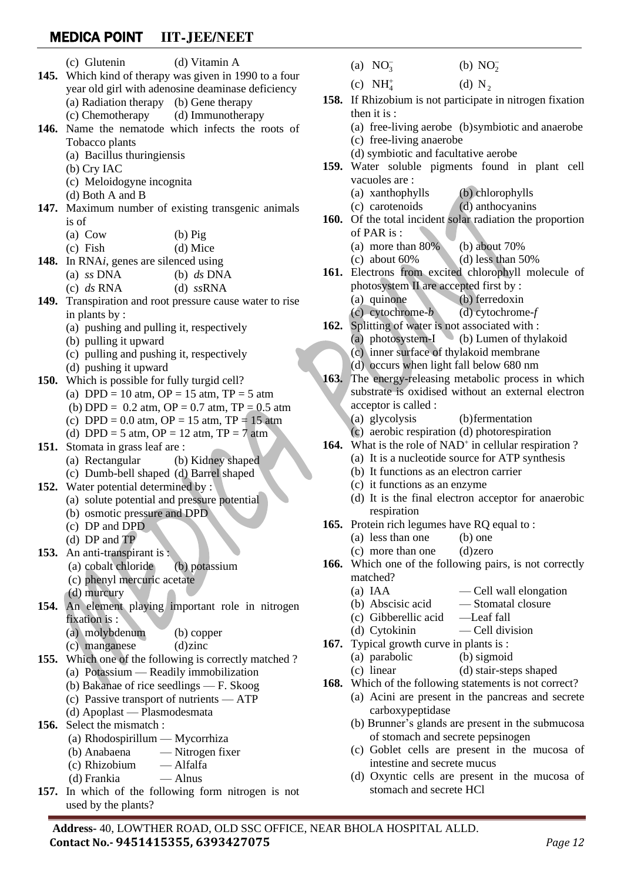|      | (c) Glutenin                                               | (d) Vitamin A     |      | (a) $NO_3^-$                                                             | (b) $NO2^-$    |                                                                    |
|------|------------------------------------------------------------|-------------------|------|--------------------------------------------------------------------------|----------------|--------------------------------------------------------------------|
|      | 145. Which kind of therapy was given in 1990 to a four     |                   |      | (c) $NH_4^+$                                                             | (d) $N_2$      |                                                                    |
|      | year old girl with adenosine deaminase deficiency          |                   |      |                                                                          |                | 158. If Rhizobium is not participate in nitrogen fixation          |
|      | (a) Radiation therapy (b) Gene therapy<br>(c) Chemotherapy | (d) Immunotherapy |      | then it is :                                                             |                |                                                                    |
|      | 146. Name the nematode which infects the roots of          |                   |      |                                                                          |                | (a) free-living aerobe (b)symbiotic and anaerobe                   |
|      | Tobacco plants                                             |                   |      | (c) free-living anaerobe                                                 |                |                                                                    |
|      | (a) Bacillus thuringiensis                                 |                   |      | (d) symbiotic and facultative aerobe                                     |                |                                                                    |
|      | (b) Cry IAC                                                |                   |      |                                                                          |                | 159. Water soluble pigments found in plant cell                    |
|      | (c) Meloidogyne incognita                                  |                   |      | vacuoles are:                                                            |                |                                                                    |
|      | (d) Both A and B                                           |                   |      | (a) xanthophylls                                                         |                | (b) chlorophylls                                                   |
|      | 147. Maximum number of existing transgenic animals         |                   |      | (c) carotenoids                                                          |                | (d) anthocyanins                                                   |
|      | is of                                                      |                   | 160. |                                                                          |                | Of the total incident solar radiation the proportion               |
|      | $(a)$ Cow                                                  | $(b)$ Pig         |      | of PAR is:                                                               |                |                                                                    |
|      | $(c)$ Fish                                                 | $(d)$ Mice        |      | (a) more than $80\%$                                                     |                | (b) about $70%$                                                    |
|      | 148. In RNAi, genes are silenced using                     |                   |      | $(c)$ about 60%                                                          |                | (d) less than $50\%$                                               |
|      | (a) $ss$ DNA                                               | (b) $ds$ DNA      |      |                                                                          |                | 161. Electrons from excited chlorophyll molecule of                |
|      | (c) $ds$ RNA                                               | $(d)$ ssRNA       |      | photosystem II are accepted first by :                                   |                |                                                                    |
|      | 149. Transpiration and root pressure cause water to rise   |                   |      | (a) quinone                                                              | (b) ferredoxin |                                                                    |
|      | in plants by :                                             |                   |      | $(c)$ cytochrome- $b$                                                    |                | $(d)$ cytochrome- $f$                                              |
|      | (a) pushing and pulling it, respectively                   |                   |      | 162. Splitting of water is not associated with :                         |                |                                                                    |
|      | (b) pulling it upward                                      |                   |      | (a) photosystem-I $\qquad$ (b) Lumen of thylakoid                        |                |                                                                    |
|      | (c) pulling and pushing it, respectively                   |                   |      | (c) inner surface of thylakoid membrane                                  |                |                                                                    |
|      | (d) pushing it upward                                      |                   |      | (d) occurs when light fall below 680 nm                                  |                |                                                                    |
|      | 150. Which is possible for fully turgid cell?              |                   |      |                                                                          |                | 163. The energy-releasing metabolic process in which               |
|      | (a) DPD = 10 atm, OP = 15 atm, TP = 5 atm                  |                   |      |                                                                          |                | substrate is oxidised without an external electron                 |
|      | (b) DPD = $0.2$ atm, OP = $0.7$ atm, TP = $0.5$ atm        |                   |      | acceptor is called :                                                     |                |                                                                    |
|      | (c) DPD = $0.0$ atm, OP = 15 atm, TP = 15 atm              |                   |      | (a) glycolysis                                                           |                | (b) fermentation                                                   |
|      | (d) DPD = 5 atm, OP = 12 atm, TP = 7 atm                   |                   |      | (c) aerobic respiration (d) photorespiration                             |                |                                                                    |
| 151. | Stomata in grass leaf are :                                |                   |      |                                                                          |                | 164. What is the role of NAD <sup>+</sup> in cellular respiration? |
|      | (a) Rectangular                                            | (b) Kidney shaped |      | (a) It is a nucleotide source for ATP synthesis                          |                |                                                                    |
|      | (c) Dumb-bell shaped (d) Barrel shaped                     |                   |      | (b) It functions as an electron carrier<br>(c) it functions as an enzyme |                |                                                                    |
|      | 152. Water potential determined by :                       |                   |      |                                                                          |                | (d) It is the final electron acceptor for anaerobic                |
|      | (a) solute potential and pressure potential                |                   |      | respiration                                                              |                |                                                                    |
|      | (b) osmotic pressure and DPD                               |                   |      | <b>165.</b> Protein rich legumes have RQ equal to :                      |                |                                                                    |
|      | $(c)$ DP and DPD<br>(d) $DP$ and $TP$                      |                   |      | (a) less than one                                                        | $(b)$ one      |                                                                    |
| 153. | An anti-transpirant is :                                   |                   |      | (c) more than one                                                        | $(d)$ zero     |                                                                    |
|      | (a) cobalt chloride                                        | (b) potassium     |      |                                                                          |                | <b>166.</b> Which one of the following pairs, is not correctly     |
|      | (c) phenyl mercuric acetate                                |                   |      | matched?                                                                 |                |                                                                    |
|      | $(d)$ murcury                                              |                   |      | $(a)$ IAA                                                                |                | — Cell wall elongation                                             |
| 154. | An element playing important role in nitrogen              |                   |      | (b) Abscisic acid                                                        |                | -Stomatal closure                                                  |
|      | fixation is :                                              |                   |      | (c) Gibberellic acid                                                     | -Leaf fall     |                                                                    |
|      | (a) molybdenum                                             | (b) copper        |      | (d) Cytokinin                                                            |                | - Cell division                                                    |
|      | (c) manganese                                              | $(d)$ zinc        |      | 167. Typical growth curve in plants is:                                  |                |                                                                    |
| 155. | Which one of the following is correctly matched?           |                   |      | (a) parabolic                                                            | (b) sigmoid    |                                                                    |
|      | (a) Potassium — Readily immobilization                     |                   |      | (c) linear                                                               |                | (d) stair-steps shaped                                             |
|      |                                                            |                   |      |                                                                          |                |                                                                    |

- 
- (a) xanthophylls (b) chlorophylls (c) carotenoids (d) anthocyanins

- (a) more than 80% (b) about 70%
- (c) about  $60\%$  (d) less than  $50\%$
- **161.** Electrons from excited chlorophyll molecule of photosystem II are accepted first by : (a) quinone (b) ferredoxin

- (c) cytochrome-*b* (d) cytochrome-*f*
- **162.** Splitting of water is not associated with :
	- (a) photosystem-I (b) Lumen of thylakoid
		- (c) inner surface of thylakoid membrane
		- (d) occurs when light fall below 680 nm
- **163.** The energy-releasing metabolic process in which substrate is oxidised without an external electron acceptor is called :
	- (a) glycolysis (b)fermentation
	- (c) aerobic respiration (d) photorespiration
- 164. What is the role of NAD<sup>+</sup> in cellular respiration ?
	- (a) It is a nucleotide source for ATP synthesis
	- (b) It functions as an electron carrier
	- (c) it functions as an enzyme
	- (d) It is the final electron acceptor for anaerobic respiration
- **165.** Protein rich legumes have RQ equal to :
	- (a) less than one (b) one
	- (c) more than one (d)zero
- **166.** Which one of the following pairs, is not correctly matched?
	-
	- (a) IAA Cell wall elongation (b) Abscisic acid — Stomatal closure
	-
	- (c) Gibberellic acid —Leaf fall
	- (d) Cytokinin Cell division
- **167.** Typical growth curve in plants is :
	- (a) parabolic (b) sigmoid
		- (c) linear (d) stair-steps shaped
- **168.** Which of the following statements is not correct?
	- (a) Acini are present in the pancreas and secrete carboxypeptidase
	- (b) Brunner's glands are present in the submucosa of stomach and secrete pepsinogen
	- (c) Goblet cells are present in the mucosa of intestine and secrete mucus
	- (d) Oxyntic cells are present in the mucosa of stomach and secrete HCl
- 
- 
- **154.** An element playing important role in nitrogen
- **155.** Which one of the following is correctly matched ?
	- (b) Bakanae of rice seedlings F. Skoog
	- (c) Passive transport of nutrients ATP
	- (d) Apoplast Plasmodesmata
- **156.** Select the mismatch :
	- (a) Rhodospirillum Mycorrhiza
	- (b) Anabaena Nitrogen fixer
	- (c) Rhizobium Alfalfa
	- (d) Frankia Alnus
- **157.** In which of the following form nitrogen is not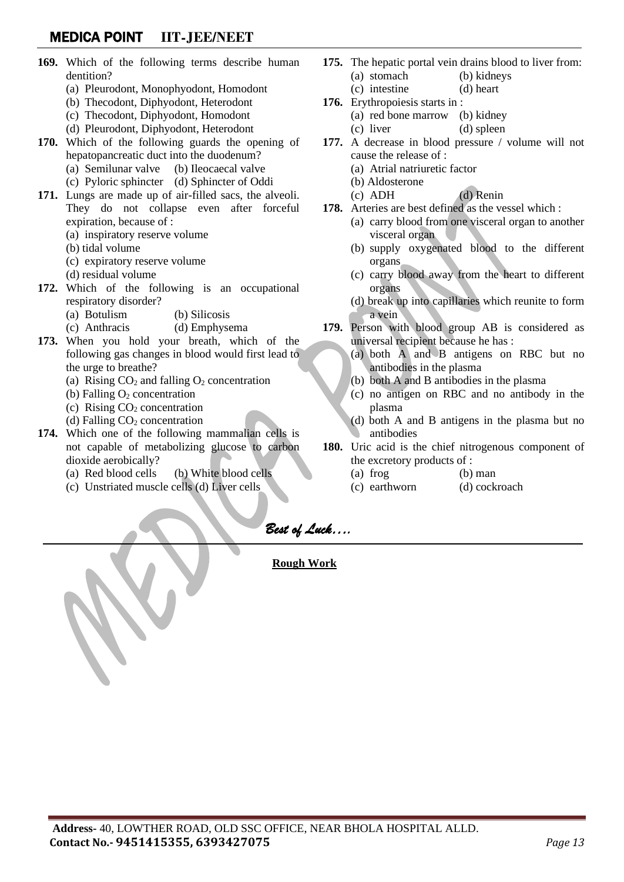- **169.** Which of the following terms describe human dentition?
	- (a) Pleurodont, Monophyodont, Homodont
	- (b) Thecodont, Diphyodont, Heterodont
	- (c) Thecodont, Diphyodont, Homodont
	- (d) Pleurodont, Diphyodont, Heterodont
- **170.** Which of the following guards the opening of hepatopancreatic duct into the duodenum?
	- (a) Semilunar valve (b) Ileocaecal valve
	- (c) Pyloric sphincter (d) Sphincter of Oddi
- **171.** Lungs are made up of air-filled sacs, the alveoli. They do not collapse even after forceful expiration, because of :
	- (a) inspiratory reserve volume
	- (b) tidal volume
	- (c) expiratory reserve volume
	- (d) residual volume
- **172.** Which of the following is an occupational respiratory disorder?
	- (a) Botulism (b) Silicosis
	- (c) Anthracis (d) Emphysema
- **173.** When you hold your breath, which of the following gas changes in blood would first lead to the urge to breathe?
	- (a) Rising  $CO<sub>2</sub>$  and falling  $O<sub>2</sub>$  concentration
	- (b) Falling  $O_2$  concentration
	- (c) Rising  $CO<sub>2</sub>$  concentration
	- (d) Falling  $CO<sub>2</sub>$  concentration
- **174.** Which one of the following mammalian cells is not capable of metabolizing glucose to carbon dioxide aerobically?
	- (a) Red blood cells (b) White blood cells

l,

(c) Unstriated muscle cells (d) Liver cells

- **175.** The hepatic portal vein drains blood to liver from: (a) stomach (b) kidneys
	- (c) intestine (d) heart
- **176.** Erythropoiesis starts in :
	- (a) red bone marrow (b) kidney
		- (c) liver (d) spleen
- **177.** A decrease in blood pressure / volume will not cause the release of :
	- (a) Atrial natriuretic factor
	- (b) Aldosterone
	- (c) ADH (d) Renin
- **178.** Arteries are best defined as the vessel which :
	- (a) carry blood from one visceral organ to another visceral organ
	- (b) supply oxygenated blood to the different organs
	- (c) carry blood away from the heart to different organs
	- (d) break up into capillaries which reunite to form a vein
- **179.** Person with blood group AB is considered as universal recipient because he has :
	- (a) both A and B antigens on RBC but no antibodies in the plasma
	- (b) both A and B antibodies in the plasma
	- (c) no antigen on RBC and no antibody in the plasma
	- (d) both A and B antigens in the plasma but no antibodies
- **180.** Uric acid is the chief nitrogenous component of the excretory products of :
	- (a) frog (b) man
	- (c) earthworn (d) cockroach

### *Best of Luck….*

#### **Rough Work**